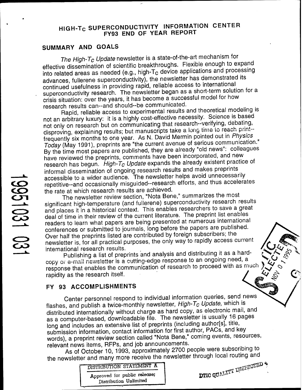# **HIGH-Tc SUPERCONDUCTIVITY INFORMATION CENTER FY93 END OF YEAR REPORT**

## **SUMMARY AND GOALS**

*The High-Tc Update* newsletter is a state-of-the-art mechanism for effective dissemination of scientific breakthroughs. Flexible enough to expand into related areas as needed (e.g., high- $T_c$  device applications and processing advances, fullerene superconductivity), the newsletter has demonstrated its continued usefulness in providing rapid, reliable access to international superconductivity research. The newsletter began as a short-term solution tor a crisis situation: over the years, it has become a successful model for how research results can--and should--be communicated.

Rapid, reliable access to experimental results and theoretical modeling is not an arbitrary luxury: it is a highly cost-effective necessity. Science is based not only on research but on communicating that research-verifying, debating, disproving, explaining results; but manuscripts take a long time to reach print-frequently six months to one year. As N. David Mermin pointed out in *Physics* \_ *Today* (May 1991), preprints are "the current avenue of serious communication. By the time most papers are published, they are already "old news": colleagues have reviewed the preprints, comments have been incorporated, and new research has begun. *High-Tc Update* expands the already existent practice of informal dissemination of ongoing research results and makes preprints accessible to a wider audience. The newsletter helps avoid unnecessarily repetitive-and occasionally misguided-research efforts, and thus accelerates the rate at which research results are achieved.

The newsletter review section, "Nota Bene," summarizes the most significant high-temperature (and fullerene) superconductivity research results and places it in a historical context. This enables researchers to save a great deal of time in their review of the current literature. The preprint list enables readers to learn what papers are being presented at numerous international conferences or submitted to journals, long before the papers are published. Over half the preprints listed are contributed by foreign subscribers; the newsletter is, for all practical purposes, the only way to rapidly access current international research results. . ..... <sup>u</sup> ^

international research results.<br>Publishing a list of preprints and analysis and distributing it as a hardcopy or e-mail newsletter is a cutting-edge response to an ongoing need, a response that enables the communication of research to proceed with as much rapidity as the research itself.

#### **FY 93 ACCOMPLISHMENTS**

Center personnel respond to individual information queries, send news flashes, and publish a twice-monthly newsletter, *High-Tc Update,* which is distributed internationally without charge as hard copy, as electronic mail, and as a computer-based, downloadable file. The newsletter is usually 16 pages long and includes an extensive list of preprints (including author[s], title, submission information, contact information for first author, PACs, and key words), a preprint review section called "Nota Bene," coming events, resources, relevant news items, RFPs, and job announcements.

As of October 10, 1993, approximately 2700 people were subscribing to the newsletter and many more receive the newsletter through local routing and

 $\tt DTIC$  QUALITY

 $\mathbb{R}^{\text{NEPE}}$ ormo



 $0.1601001001$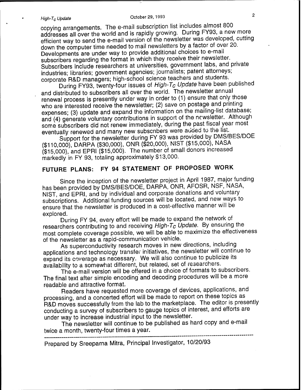# *High-T<sub>c</sub> Update* 29, 1993 2

copying arrangements. The e-mail subscription list includes almost 800 addresses all over the world and is rapidly growing. During FY93, a new more efficient way to send the e-mail version of the newsletter was developed, cutting down the computer time needed to mail newsletters by a factor of over 20. Developments are under way to provide additional choices to e-mail subscribers regarding the format in which they receive their newsletter. Subscribers include researchers at universities, government labs, and private industries; libraries; government agencies; journalists; patent attorneys; corporate R&D managers; high-school science teachers and students.

During FY93, twenty-four issues of *High-Tc Update* have been published and distributed to subscribers all over the world. The newsletter annual renewal process is presently under way in order to (1) ensure that only those who are interested receive the newsletter; (2) save on postage and printing expenses; (3) update and expand the information on the mailing-list database; and (4) generate voluntary contributions in support of the newsletter. Although some subscribers did not renew immediately, during the past fiscal year most eventually renewed and many new subscribers were added to the list.

Support for the newsletter during FY 93 was provided by DMS/BES/DOE (\$110,000), DARPA (\$30,000), ONR (\$20,000), NIST (\$15,000), NASA (\$15,000), and EPRI (\$15,000). The number of small donors increased markedly in FY 93, totaling approximately \$13,000.

# **FUTURE PLANS: FY 94 STATEMENT OF PROPOSED WORK**

Since the inception of the newsletter project in April 1987, major funding has been provided by DMS/BES/DOE, DARPA, ONR, AFOSR, NSF, NASA, NIST, and EPRI, and by individual and corporate donations and voluntary subscriptions. Additional funding sources will be located, and new ways to ensure that the newsletter is produced in a cost-effective manner will be explored.

During FY 94, every effort will be made to expand the network of researchers contributing to and receiving *High-Tc Update.* By ensuring the most complete coverage possible, we will be able to maximize the effectiveness of the newsletter as a rapid-communication vehicle.

As superconductivity research moves in new directions, including applications and technology transfer initiatives, the newsletter will continue to expand its coverage as necessary. We will also continue to publicize its availability to a somewhat different, but related, set of researchers.

The e-mail version will be offered in a choice of formats to subscribers. The final text after simple encoding and decoding procedures will be a more readable and attractive format.

Readers have requested more coverage of devices, applications, and processing, and a concerted effort will be made to report on these topics as R&D moves successfully from the lab to the marketplace. The editor is presently conducting a survey of subscribers to gauge topics of interest, and efforts are under way to increase industrial input to the newsletter.

The newsletter will continue to be published as hard copy and e-mail twice a month, twenty-four times a year.

Prepared by Sreepama Mitra, Principal Investigator, 10/20/93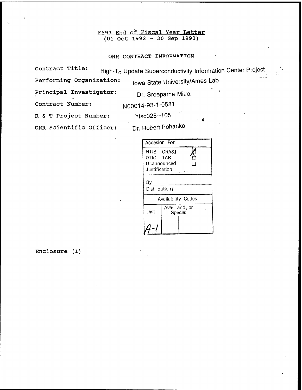#### FY93 End of Fiscal Year Letter (01 Oct 1992 - 30 Sep 1993)

#### ONR CONTRACT INFORMATION

Contract Title: **High-Tc Update Superconductivity Information Center Project**

**Performing Organization: |Qwa State University/Ames Lab**

e

Principal Investigator: Dr. Sreeparna Mitra

Contract Number: N00014-93-1 -0581

<sup>R</sup> & <sup>T</sup> Project Number: htsc028-105

ONR Scientific Officer:

Dr. Robert Pohanka

| Accesion For                                                   |                           |  |  |  |  |
|----------------------------------------------------------------|---------------------------|--|--|--|--|
| NTIS CRA& <b>I</b><br>DTIC TAB<br>Unannounced<br>Justification |                           |  |  |  |  |
| Bγ<br>Dist. ibution /                                          |                           |  |  |  |  |
| <b>Availability Codes</b>                                      |                           |  |  |  |  |
| Dist                                                           | Avail and   or<br>Special |  |  |  |  |
|                                                                |                           |  |  |  |  |

Enclosure (1)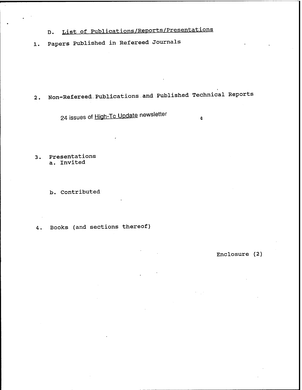- D. List of Publications/Reports/Presentations
- 1. Papers Published in Refereed Journals

2. Non-Refereed.Publications and Published Technical Reports

24 issues of High-Tc Update newsletter

3. Presentations a. Invited

b. Contributed

4. Books (and sections thereof)

Enclosure (2)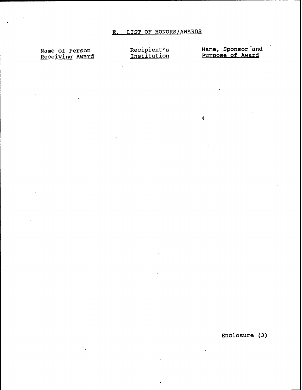Name of Person<br>Receiving Award

Recipient's Name, Sponsor and<br>
<u>Institution</u> Purpose of Award

 $\mathbf{a}$ 

Enclosure (3)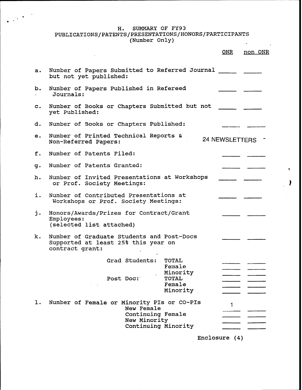#### H. SUMMARY OF FY93

#### PUBLICATIONS/PATENTS/PRESENTATIONS/HONORS/PARTICIPANTS (Number Only)

|                |                                                                                                                      | ONR                   | non ONR |
|----------------|----------------------------------------------------------------------------------------------------------------------|-----------------------|---------|
| a.             | Number of Papers Submitted to Referred Journal<br>but not yet published:                                             |                       |         |
| b.             | Number of Papers Published in Refereed<br>Journals:                                                                  |                       |         |
| $\mathsf{c}$ . | Number of Books or Chapters Submitted but not<br>yet Published:                                                      |                       |         |
| d.             | Number of Books or Chapters Published:                                                                               |                       |         |
| e.             | Number of Printed Technical Reports &<br>Non-Referred Papers:                                                        | <b>24 NEWSLETTERS</b> |         |
| f.             | Number of Patents Filed:                                                                                             |                       |         |
| g.             | Number of Patents Granted:                                                                                           |                       |         |
| h.             | Number of Invited Presentations at Workshops<br>or Prof. Society Meetings:                                           |                       |         |
| i.             | Number of Contributed Presentations at<br>Workshops or Prof. Society Meetings:                                       |                       |         |
| j.             | Honors/Awards/Prizes for Contract/Grant<br>Employees:<br>(selected list attached)                                    |                       |         |
| k.             | Number of Graduate Students and Post-Docs<br>Supported at least 25% this year on<br>contract grant:                  |                       |         |
|                | Grad Students:<br>TOTAL<br>Female<br>Minority<br>TOTAL<br>Post Doc:<br>Female<br>Minority                            |                       |         |
| ı.             | Number of Female or Minority PIs or CO-PIs<br>New Female<br>Continuing Female<br>New Minority<br>Continuing Minority | 1                     |         |

Enclosure (4)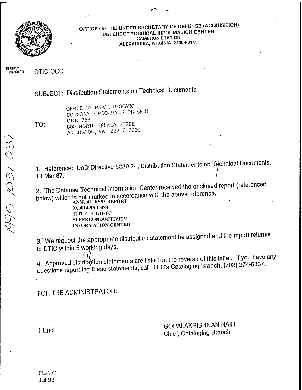

OFFICE OF THE UNDER SECRETARY OF DEFENSE (ACQUISITION) DEFENSE TECHNICAL INFORMATION CENTER **CAMERON STATION** ALEXANDRIA, VIRGINIA 22301-6145

**r\*v**

**IN REPLY DTIC-OCC** 

SUBJECT: Distribution Statements on Technical Documents

OFFICE Of NAVAL RESEARCH CORPORATE PROCRAMS DIVISION ONR 333 TO: 800 NORTH QUINCY STREET ARLINGTON, VA 22217-5GG0

 $\bigcirc$ <br>1. Reference: DoD Directive 5230.24, Distribution Statements on Technical Documents,  $\begin{matrix} \diagup \\ \textrm{Q} \end{matrix}$  1. Referer<br>18 Mar 87.

§ <sup>2</sup> The Defense Technical Information Center received the enclosed report (referenced below) which is not marked in accordance with the above reference.<br>ANNUAL FY93 REPORT

\C\ N00014-93-1-0581 ^? TITLE: HIGH-TC **SUPERCONDUCTIVITY** INFORMATION CENTER

3. We request the appropriate distribution statement be assigned and the report returned to DTIC within 5 working days.

4. Approved distribution statements are listed on the reverse of this letter. If you have any questions regarding these statements, call DTIC's Cataloging Branch, (703) 274-6837.

FOR THE ADMINISTRATOR:

GOPALAKRISHNAN NAIR 1 Encl<br>Chief, Cataloging Branch

FL-171 Jul93